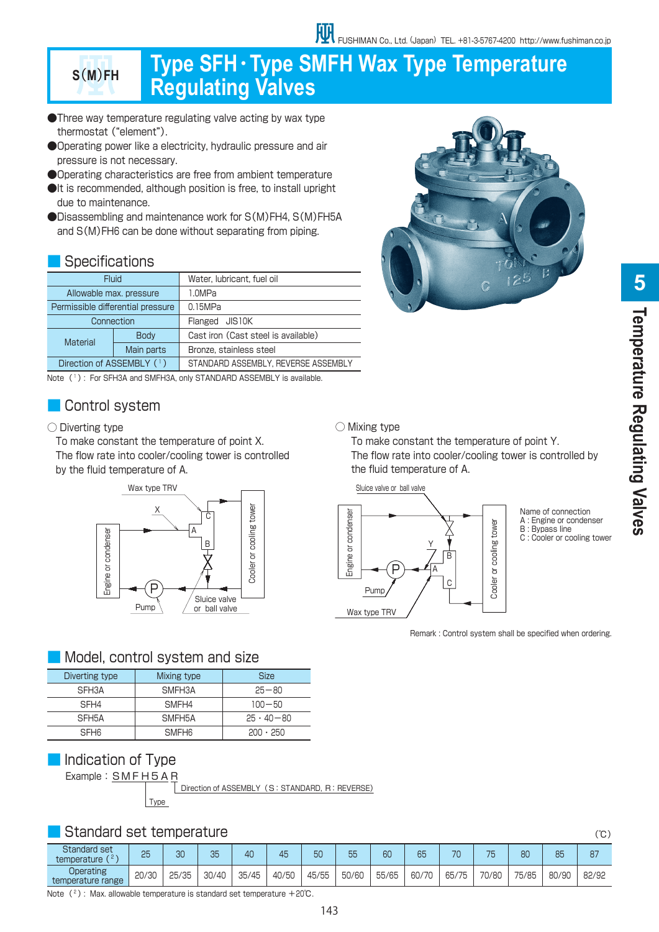# **<sup>S</sup>**(**M**)**FH Type SFH**・**Type SMFH Wax Type Temperature Regulating Valves**

- ●Three way temperature regulating valve acting by wax type thermostat ("element").
- ●Operating power like a electricity, hydraulic pressure and air pressure is not necessary.
- ●Operating characteristics are free from ambient temperature
- ●It is recommended, although position is free, to install upright due to maintenance.
- ●Disassembling and maintenance work for S(M)FH4, S(M)FH5A and S(M)FH6 can be done without separating from piping.

# ■ Specifications

| Fluid                             |             | Water, lubricant, fuel oil          |  |
|-----------------------------------|-------------|-------------------------------------|--|
| Allowable max. pressure           |             | 1.0MPa                              |  |
| Permissible differential pressure |             | 0.15MPa                             |  |
| Connection                        |             | Flanged JIS10K                      |  |
| Material                          | <b>Body</b> | Cast iron (Cast steel is available) |  |
|                                   | Main parts  | Bronze, stainless steel             |  |
| Direction of ASSEMBLY (1)         |             | STANDARD ASSEMBLY, REVERSE ASSEMBLY |  |

Note (1): For SFH3A and SMFH3A, only STANDARD ASSEMBLY is available.

# ■ Control system

#### ○ Diverting type

 To make constant the temperature of point X. The flow rate into cooler/cooling tower is controlled by the fluid temperature of A.



# ■ Model, control system and size

| Diverting type   | Mixing type       | <b>Size</b>        |
|------------------|-------------------|--------------------|
| SFH3A            | SMFH3A            | $25 - 80$          |
| SFH4             | SMF <sub>H4</sub> | $100 - 50$         |
| SFH5A            | SMFH5A            | $25 \cdot 40 - 80$ |
| SFH <sub>6</sub> | <b>SMFH6</b>      | $200 \cdot 250$    |

# ■ Indication of Type

Example: SMFH5AR

Type Direction of ASSEMBLY (S: STANDARD, R: REVERSE)

# ■ Standard set temperature (℃)

|                                      |       |       |       |       |       |       | ر ب   |       |       |       |       |       |       |       |
|--------------------------------------|-------|-------|-------|-------|-------|-------|-------|-------|-------|-------|-------|-------|-------|-------|
| <b>Standard set</b><br>temperature ( | 25    | nn    | 35    | 40    | 45    | 50    | 55    | 6C    | 65    | 70    | 75    | 80    | 85    | 87    |
| Operating<br>temperature range       | 20/30 | 25/35 | 30/40 | 35/45 | 40/50 | 45/55 | 50/60 | 55/65 | 60/70 | 65/75 | 70/80 | 75/85 | 80/90 | 82/92 |

Note  $(2)$ : Max. allowable temperature is standard set temperature +20℃.



# **Femperature Regulating Valves Temperature Regulating Valves**

#### ○ Mixing type

 To make constant the temperature of point Y. The flow rate into cooler/cooling tower is controlled by the fluid temperature of A.



Name of connection A : Engine or condenser B : Bypass line C : Cooler or cooling tower

Remark : Control system shall be specified when ordering.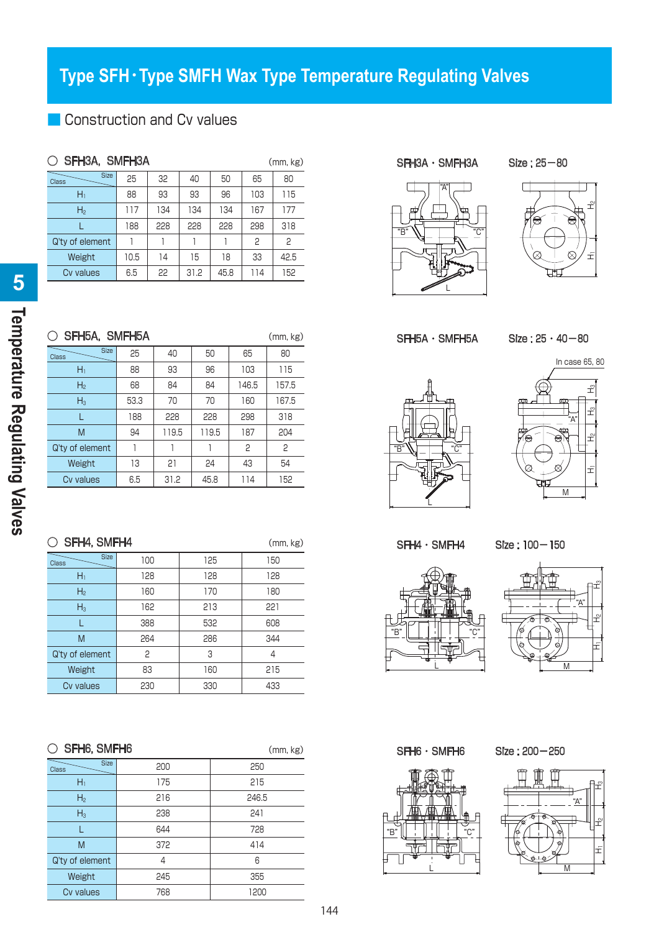# **Type SFH**・**Type SMFH Wax Type Temperature Regulating Valves**

# ■ Construction and Cv values

| $\circlearrowright$ SFH3A, SMFH3A<br>(mm, kg) |      |     |      |      |     |      |  |
|-----------------------------------------------|------|-----|------|------|-----|------|--|
| <b>Size</b><br><b>Class</b>                   | 25   | 32  | 40   | 50   | 65  | 80   |  |
| Hı                                            | 88   | 93  | 93   | 96   | 103 | 115  |  |
| H <sub>2</sub>                                | 117  | 134 | 134  | 134  | 167 | 177  |  |
|                                               | 188  | 228 | 228  | 228  | 298 | 318  |  |
| Q'ty of element                               |      |     |      |      | P   | 2    |  |
| Weight                                        | 10.5 | 14  | 15   | 18   | 33  | 42.5 |  |
| Cv values                                     | 6.5  | 22  | 31.2 | 45.8 | 114 | 152  |  |

| $\circlearrowright$ SFH5A, SMFH5A<br>(mm, kg) |      |       |       |       |       |  |  |
|-----------------------------------------------|------|-------|-------|-------|-------|--|--|
| <b>Size</b><br><b>Class</b>                   | 25   | 40    | 50    | 65    | 80    |  |  |
| $H_1$                                         | 88   | 93    | 96    | 103   | 115   |  |  |
| H <sub>2</sub>                                | 68   | 84    | 84    | 146.5 | 157.5 |  |  |
| $H_3$                                         | 53.3 | 70    | 70    | 160   | 167.5 |  |  |
|                                               | 188  | 228   | 228   | 298   | 318   |  |  |
| M                                             | 94   | 119.5 | 119.5 | 187   | 204   |  |  |
| Q'ty of element                               |      |       |       | 2     | 2     |  |  |
| Weight                                        | 13   | 21    | 24    | 43    | 54    |  |  |
| Cv values                                     | 6.5  | 31.2  | 45.8  | 114   | 152   |  |  |

| ○ SFH4, SMFH4<br>(mm, kg)   |     |     |     |  |  |  |  |
|-----------------------------|-----|-----|-----|--|--|--|--|
| <b>Size</b><br><b>Class</b> | 100 | 125 | 150 |  |  |  |  |
| $\mathsf{H}_1$              | 128 | 128 | 128 |  |  |  |  |
| H <sub>2</sub>              | 160 | 170 | 180 |  |  |  |  |
| $H_3$                       | 162 | 213 | 221 |  |  |  |  |
|                             | 388 | 532 | 608 |  |  |  |  |
| M                           | 264 | 286 | 344 |  |  |  |  |
| Q'ty of element             | P   | 3   | 4   |  |  |  |  |
| Weight                      | 83  | 160 | 215 |  |  |  |  |
| Cv values                   | 230 | 330 | 433 |  |  |  |  |

| $\circ$ SFH6, SMFH6 |  |
|---------------------|--|
|                     |  |

 $(mm, kg)$ 

| 200 | 250   |  |  |  |  |
|-----|-------|--|--|--|--|
| 175 | 215   |  |  |  |  |
| 216 | 246.5 |  |  |  |  |
| 238 | 241   |  |  |  |  |
| 644 | 728   |  |  |  |  |
| 372 | 414   |  |  |  |  |
| 4   | 6     |  |  |  |  |
| 245 | 355   |  |  |  |  |
| 768 | 1200  |  |  |  |  |
|     |       |  |  |  |  |

SFH3A · SMFH3A Size : 25-80

"B"







 $SFH5A \cdot SMFH5A$  Size :  $25 \cdot 40 - 80$ 





SFH4・SMFH4 Size : 100-150







SFH6・SMFH6 Size : 200-250

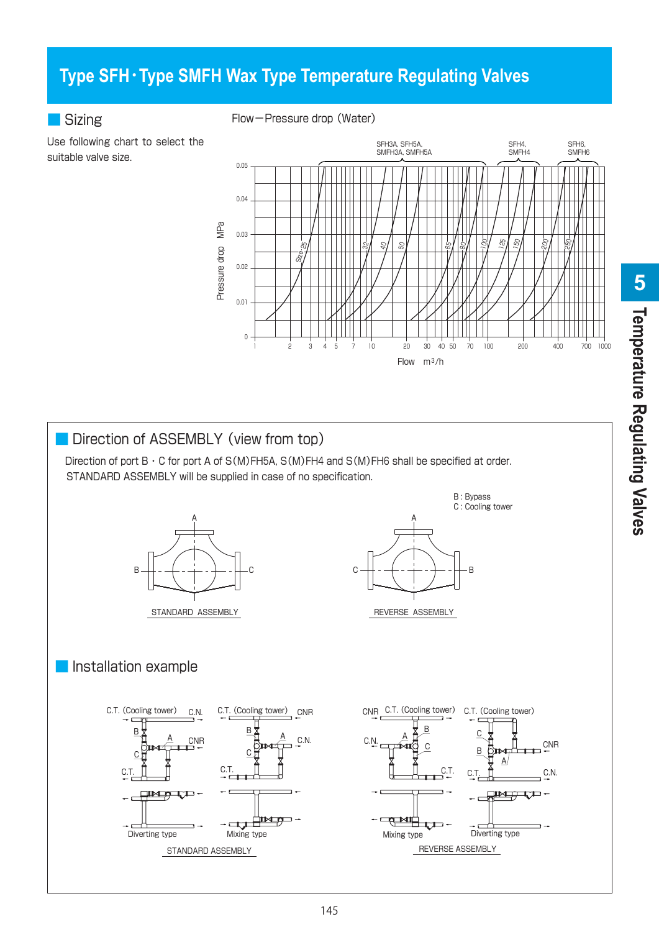# **Type SFH**・**Type SMFH Wax Type Temperature Regulating Valves**

# ■ Sizing

suitable valve size.

Flow-Pressure drop (Water)



# Direction of ASSEMBLY (view from top)

Direction of port  $B \cdot C$  for port A of S(M)FH5A, S(M)FH4 and S(M)FH6 shall be specified at order. STANDARD ASSEMBLY will be supplied in case of no specification.





### ■ Installation example